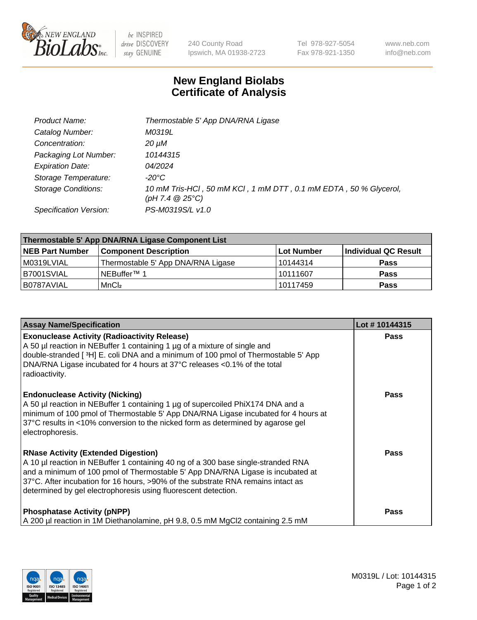

 $be$  INSPIRED drive DISCOVERY stay GENUINE

240 County Road Ipswich, MA 01938-2723 Tel 978-927-5054 Fax 978-921-1350 www.neb.com info@neb.com

## **New England Biolabs Certificate of Analysis**

| Product Name:              | Thermostable 5' App DNA/RNA Ligase                                                    |
|----------------------------|---------------------------------------------------------------------------------------|
| Catalog Number:            | M0319L                                                                                |
| Concentration:             | 20 µM                                                                                 |
| Packaging Lot Number:      | 10144315                                                                              |
| <b>Expiration Date:</b>    | <i>04/2024</i>                                                                        |
| Storage Temperature:       | -20°C                                                                                 |
| <b>Storage Conditions:</b> | 10 mM Tris-HCl, 50 mM KCl, 1 mM DTT, 0.1 mM EDTA, 50 % Glycerol,<br>(pH 7.4 $@25°C$ ) |
| Specification Version:     | PS-M0319S/L v1.0                                                                      |

| Thermostable 5' App DNA/RNA Ligase Component List |                                    |            |                      |  |
|---------------------------------------------------|------------------------------------|------------|----------------------|--|
| <b>NEB Part Number</b>                            | <b>Component Description</b>       | Lot Number | Individual QC Result |  |
| M0319LVIAL                                        | Thermostable 5' App DNA/RNA Ligase | 10144314   | <b>Pass</b>          |  |
| B7001SVIAL                                        | <sup>1</sup> NEBuffer™ 1           | 10111607   | <b>Pass</b>          |  |
| IB0787AVIAL                                       | MnCl <sub>2</sub>                  | 10117459   | <b>Pass</b>          |  |

| <b>Assay Name/Specification</b>                                                                                                                                                                                                                                                                                                                                          | Lot #10144315 |
|--------------------------------------------------------------------------------------------------------------------------------------------------------------------------------------------------------------------------------------------------------------------------------------------------------------------------------------------------------------------------|---------------|
| <b>Exonuclease Activity (Radioactivity Release)</b><br>A 50 µl reaction in NEBuffer 1 containing 1 µg of a mixture of single and<br>double-stranded [3H] E. coli DNA and a minimum of 100 pmol of Thermostable 5' App<br>DNA/RNA Ligase incubated for 4 hours at 37°C releases <0.1% of the total<br>radioactivity.                                                      | <b>Pass</b>   |
| <b>Endonuclease Activity (Nicking)</b><br>A 50 µl reaction in NEBuffer 1 containing 1 µg of supercoiled PhiX174 DNA and a<br>minimum of 100 pmol of Thermostable 5' App DNA/RNA Ligase incubated for 4 hours at<br>37°C results in <10% conversion to the nicked form as determined by agarose gel<br>electrophoresis.                                                   | <b>Pass</b>   |
| <b>RNase Activity (Extended Digestion)</b><br>A 10 µl reaction in NEBuffer 1 containing 40 ng of a 300 base single-stranded RNA<br>and a minimum of 100 pmol of Thermostable 5' App DNA/RNA Ligase is incubated at<br>37°C. After incubation for 16 hours, >90% of the substrate RNA remains intact as<br>determined by gel electrophoresis using fluorescent detection. | Pass          |
| <b>Phosphatase Activity (pNPP)</b><br>A 200 µl reaction in 1M Diethanolamine, pH 9.8, 0.5 mM MgCl2 containing 2.5 mM                                                                                                                                                                                                                                                     | Pass          |